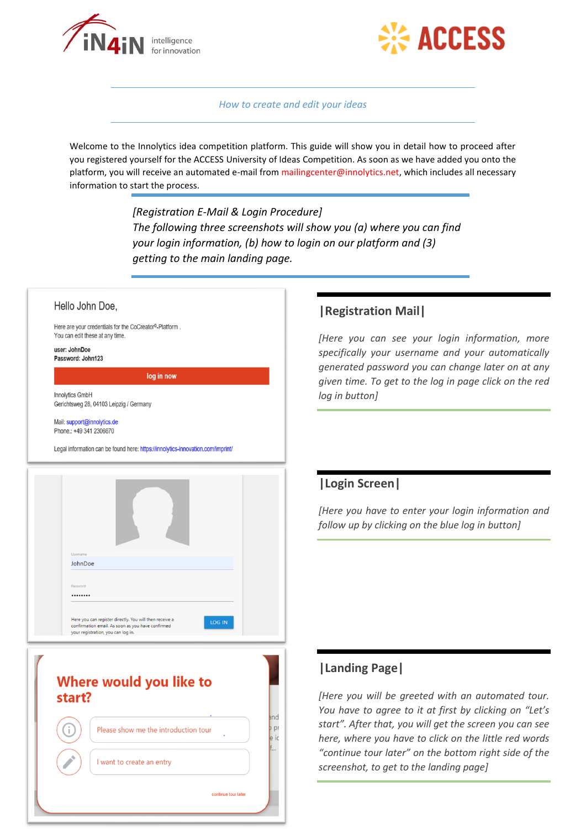



*How to create and edit your ideas*

Welcome to the Innolytics idea competition platform. This guide will show you in detail how to proceed after you registered yourself for the ACCESS University of Ideas Competition. As soon as we have added you onto the platform, you will receive an automated e-mail from mailingcenter@innolytics.net, which includes all necessary information to start the process.

> *[Registration E-Mail & Login Procedure] The following three screenshots will show you (a) where you can find your login information, (b) how to login on our platform and (3) getting to the main landing page.*

# Hello John Doe, Here are your credentials for the CoCreator®-Platform. You can edit these at any time. user: JohnDoe Password: John123 log in now **Innolytics GmbH** Gerichtsweg 28, 04103 Leipzig / Germany Mail: support@innolytics.de Phone.: +49 341 2306670 Legal information can be found here: https://innolytics-innovation.com/imprint JohnDoe ........ Here you can register directly. You will then receive a LOG IN confirmation email. As soon as you have confirmed<br>your registration, you can log in. Where would you like to start? and pi Please show me the introduction tour io I want to create an entry continue tour later

#### **|Registration Mail|**

*[Here you can see your login information, more specifically your username and your automatically generated password you can change later on at any given time. To get to the log in page click on the red log in button]*

## **|Login Screen|**

*[Here you have to enter your login information and follow up by clicking on the blue log in button]*

# **|Landing Page|**

*[Here you will be greeted with an automated tour. You have to agree to it at first by clicking on "Let's start". After that, you will get the screen you can see here, where you have to click on the little red words "continue tour later" on the bottom right side of the screenshot, to get to the landing page]*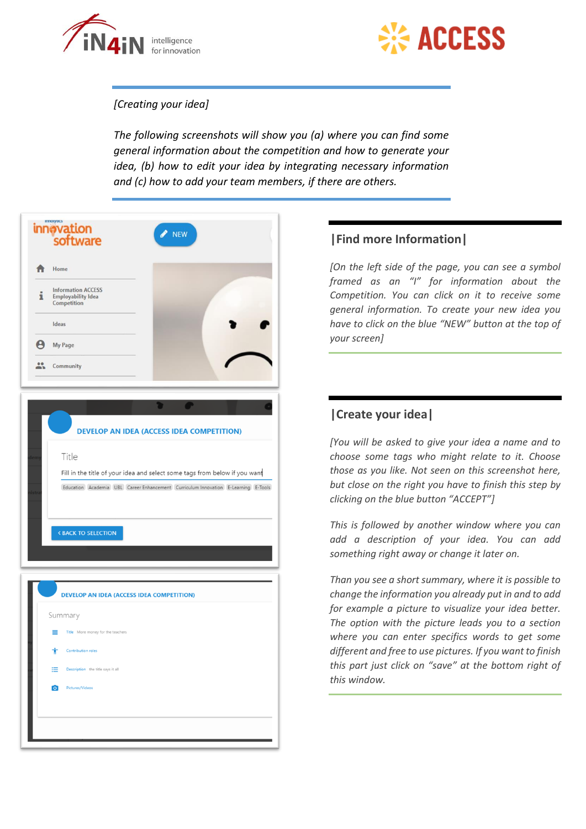



#### *[Creating your idea]*

*The following screenshots will show you (a) where you can find some general information about the competition and how to generate your idea, (b) how to edit your idea by integrating necessary information and (c) how to add your team members, if there are others.*

| ппогуска<br>innovation<br><b>NEW</b><br>software                                                                                                                                                                                                                               |
|--------------------------------------------------------------------------------------------------------------------------------------------------------------------------------------------------------------------------------------------------------------------------------|
| Home                                                                                                                                                                                                                                                                           |
| <b>Information ACCESS</b><br>1<br><b>Employability Idea</b><br>Competition                                                                                                                                                                                                     |
| Ideas                                                                                                                                                                                                                                                                          |
| Θ<br>My Page                                                                                                                                                                                                                                                                   |
| $\bullet$<br>Community                                                                                                                                                                                                                                                         |
| <b>DEVELOP AN IDEA (ACCESS IDEA COMPETITION)</b><br>Title<br>Fill in the title of your idea and select some tags from below if you want<br>Education Academia UBL Career Enhancement Curriculum Innovation E-Learning E-Tools<br><b><back b="" selection<="" to=""></back></b> |
| <b>DEVELOP AN IDEA (ACCESS IDEA COMPETITION)</b>                                                                                                                                                                                                                               |
| Summary                                                                                                                                                                                                                                                                        |
| Title More money for the teachers<br>≡                                                                                                                                                                                                                                         |
| Contribution roles<br>Ť                                                                                                                                                                                                                                                        |
| Description the title says it all<br>⋿                                                                                                                                                                                                                                         |
| $\bullet$<br>Pictures/Videos                                                                                                                                                                                                                                                   |
|                                                                                                                                                                                                                                                                                |

#### **|Find more Information|**

*[On the left side of the page, you can see a symbol framed as an "I" for information about the Competition. You can click on it to receive some general information. To create your new idea you have to click on the blue "NEW" button at the top of your screen]*

### **|Create your idea|**

*[You will be asked to give your idea a name and to choose some tags who might relate to it. Choose those as you like. Not seen on this screenshot here, but close on the right you have to finish this step by clicking on the blue button "ACCEPT"]*

*This is followed by another window where you can add a description of your idea. You can add something right away or change it later on.*

*Than you see a short summary, where it is possible to change the information you already put in and to add for example a picture to visualize your idea better. The option with the picture leads you to a section where you can enter specifics words to get some different and free to use pictures. If you want to finish this part just click on "save" at the bottom right of this window.*